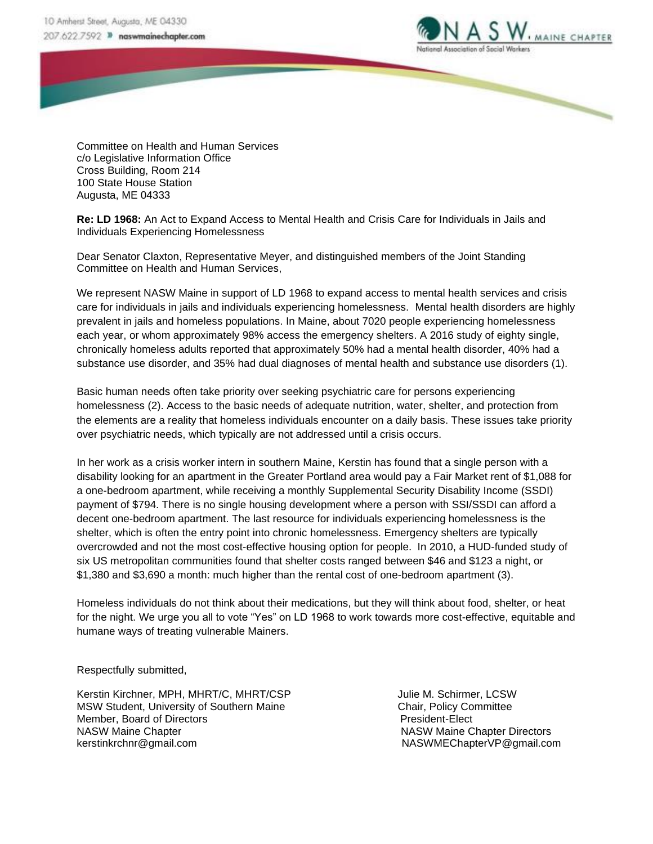

Committee on Health and Human Services c/o Legislative Information Office Cross Building, Room 214 100 State House Station Augusta, ME 04333

**Re: LD 1968:** An Act to Expand Access to Mental Health and Crisis Care for Individuals in Jails and Individuals Experiencing Homelessness

Dear Senator Claxton, Representative Meyer, and distinguished members of the Joint Standing Committee on Health and Human Services,

We represent NASW Maine in support of LD 1968 to expand access to mental health services and crisis care for individuals in jails and individuals experiencing homelessness. Mental health disorders are highly prevalent in jails and homeless populations. In Maine, about 7020 people experiencing homelessness each year, or whom approximately 98% access the emergency shelters. A 2016 study of eighty single, chronically homeless adults reported that approximately 50% had a mental health disorder, 40% had a substance use disorder, and 35% had dual diagnoses of mental health and substance use disorders (1).

Basic human needs often take priority over seeking psychiatric care for persons experiencing homelessness (2). Access to the basic needs of adequate nutrition, water, shelter, and protection from the elements are a reality that homeless individuals encounter on a daily basis. These issues take priority over psychiatric needs, which typically are not addressed until a crisis occurs.

In her work as a crisis worker intern in southern Maine, Kerstin has found that a single person with a disability looking for an apartment in the Greater Portland area would pay a Fair Market rent of \$1,088 for a one-bedroom apartment, while receiving a monthly Supplemental Security Disability Income (SSDI) payment of \$794. There is no single housing development where a person with SSI/SSDI can afford a decent one-bedroom apartment. The last resource for individuals experiencing homelessness is the shelter, which is often the entry point into chronic homelessness. Emergency shelters are typically overcrowded and not the most cost-effective housing option for people. In 2010, a HUD-funded study of six US metropolitan communities found that shelter costs ranged between \$46 and \$123 a night, or \$1,380 and \$3,690 a month: much higher than the rental cost of one-bedroom apartment (3).

Homeless individuals do not think about their medications, but they will think about food, shelter, or heat for the night. We urge you all to vote "Yes" on LD 1968 to work towards more cost-effective, equitable and humane ways of treating vulnerable Mainers.

Respectfully submitted,

Kerstin Kirchner, MPH, MHRT/C, MHRT/CSP Julie M. Schirmer, LCSW MSW Student, University of Southern Maine Chair, Policy Committee Member, Board of Directors **President-Elect** President-Elect NASW Maine Chapter Nash Chapter NASW Maine Chapter Directors kerstinkrchnr@gmail.com NASWMEChapterVP@gmail.com